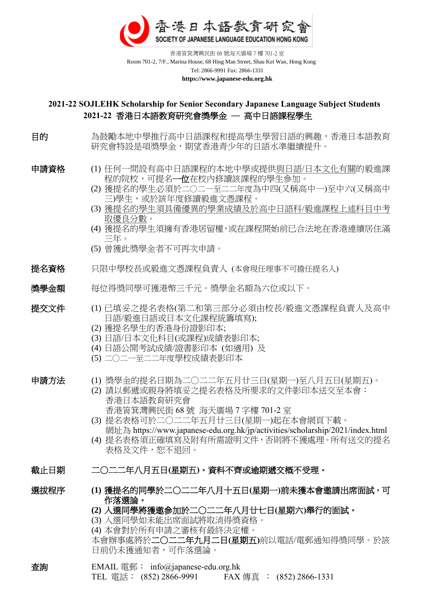

 香港筲箕灣興民街 68 號海天廣場 7 樓 701-2 室 Room 701-2, 7/F., Marina House, 68 Hing Man Street, Shau Kei Wan, Hong Kong Tel: 2866-9991 Fax: 2866-1331  **https://www.japanese-edu.org.hk**

### **2021-22 SOJLEHK Scholarship for Senior Secondary Japanese Language Subject Students 2021-22** 香港日本語教育研究會獎學金 ─ 高中日語課程學生

目的 高鼓勵本地中學推行高中日語課程和提高學生學習日語的興趣,香港日本語教育 研究會特設是項獎學金,期望香港青少年的日語水準繼續提升。

- 申請資格 (1) 任何一間設有高中日語課程的本地中學或提供與日語/日本文化有關的毅進課 程的院校,可提名一位在校内修讀該課程的學生參加。
	- (2) 獲提名的學生必須於二○二一至二二年度為中四(又稱高中一)至中六(又稱高中 三)學生,或於該年度修讀毅進文憑課程。
	- (3) 獲提名的學生須具備優異的學業成績及於高中日語科/毅進課程上述科目中考 取優良分數。
	- (4) 獲提名的學生須擁有香港居留權,或在課程開始前已合法地在香港連續居住滿 三年。
	- (5) 曾獲此獎學金者不可再次申請。
- 提名資格 只限中學校長或毅進文憑課程負責人 (本會現任理事不可擔任提名人)

#### **獎學金額** 每位得獎同學可獲港幣三千元。獎學金名額為六位或以下。

- 提交文件 (1) 已填妥之提名表格(第二和第三部分必須由校長/毅進文憑課程負責人及高中 日語/毅進日語或日本文化課程統籌填寫);
	- (2) 獲提名學生的香港身份證影印本;
	- (3) 日語/日本文化科目(或課程)成績表影印本;
	- (4) 日語公開考試成績/證書影印本 (如適用) 及
	- (5) 二○二一至二二年度學校成績表影印本

- 申請方法 (1) 獎學金的提名日期為二○二二年五月廿三日(星期一)至八月五日(星期五)。
	- (2) 請以郵遞或親身將填妥之提名表格及所要求的文件影印本送交至本會: 香港日本語教育研究會
		- 香港筲箕灣興民街 68 號 海天廣場 7 字樓 701-2 室
		- (3) 提名表格可於二○二二年五月廿三日(星期一)起在本會網頁下載。 網址為 https://www.japanese-edu.org.hk/jp/activities/scholarship/2021/index.html
		- (4) 提名表格須正確填寫及附有所需證明文件,否則將不獲處理。所有送交的提名 表格及文件,恕不退回。

#### 截止日期 二○二二年八月五日**(**星期五**)**。資料不齊或逾期遞交概不受理。

選拔程序 **(1)** 獲提名的同學於二○二二年八月十五日**(**星期一**)**前未獲本會邀請出席面試,可 作落選論。

#### **(2)** 入選同學將獲邀參加於二○二二年八月廿七日**(**星期六**)**舉行的面試。

- (3) 入選同學如未能出席面試將取消得獎資格。
- (4) 本會對於所有申請之審核有最終決定權。

本會辦事處將於二○二二年九月二日**(**星期五**)**前以電話/電郵通知得獎同學。於該 日前仍未獲通知者,可作落選論。

查詢 EMAIL 電郵: [info@japanese-edu.org.hk](mailto:info@japanese-edu.org.hk) TEL 電話: (852) 2866-9991 FAX 傳真 : (852) 2866-1331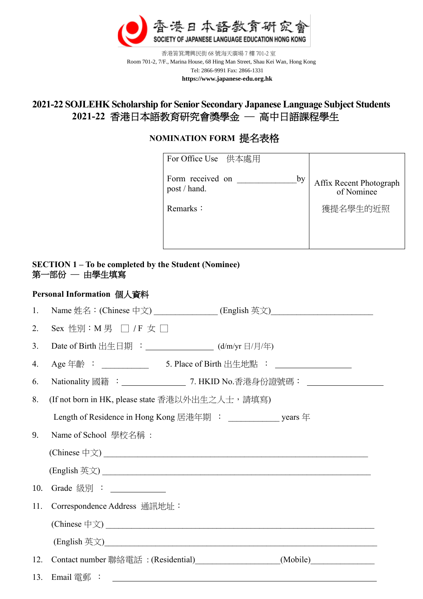

 香港筲箕灣興民街 68 號海天廣場 7 樓 701-2 室 Room 701-2, 7/F., Marina House, 68 Hing Man Street, Shau Kei Wan, Hong Kong Tel: 2866-9991 Fax: 2866-1331  **https://www.japanese-edu.org.hk**

# **2021-22 SOJLEHK Scholarship for Senior Secondary Japanese Language Subject Students 2021-22** 香港日本語教育研究會獎學金 ─ 高中日語課程學生

## **NOMINATION FORM** 提名表格

| For Office Use 供本處用                    |                                       |
|----------------------------------------|---------------------------------------|
| Form received on<br>by<br>post / hand. | Affix Recent Photograph<br>of Nominee |
| Remarks:                               | 獲提名學生的近照                              |
|                                        |                                       |

### **SECTION 1 – To be completed by the Student (Nominee)** 第一部份 ─ 由學生填寫

## **Personal Information** 個人資料

| 1.  | Name 姓名:(Chinese 中文) _______________(English 英文)________________________________ |  |  |
|-----|----------------------------------------------------------------------------------|--|--|
| 2.  | Sex 性別:M 男 □ / F 女 □                                                             |  |  |
| 3.  | Date of Birth 出生日期 : _______________ (d/m/yr 日/月/年)                              |  |  |
| 4.  |                                                                                  |  |  |
| 6.  | Nationality 國籍 : ________________ 7. HKID No.香港身份證號碼: ____________________       |  |  |
| 8.  | (If not born in HK, please state 香港以外出生之人士,請填寫)                                  |  |  |
|     | Length of Residence in Hong Kong 居港年期 : ___________________ years 年              |  |  |
| 9.  | Name of School 學校名稱:                                                             |  |  |
|     |                                                                                  |  |  |
|     |                                                                                  |  |  |
| 10. |                                                                                  |  |  |
| 11. | Correspondence Address 通訊地址:                                                     |  |  |
|     |                                                                                  |  |  |
|     |                                                                                  |  |  |
| 12. | Contact number 聯絡電話: (Residential)<br>(Mobile)                                   |  |  |
| 13. |                                                                                  |  |  |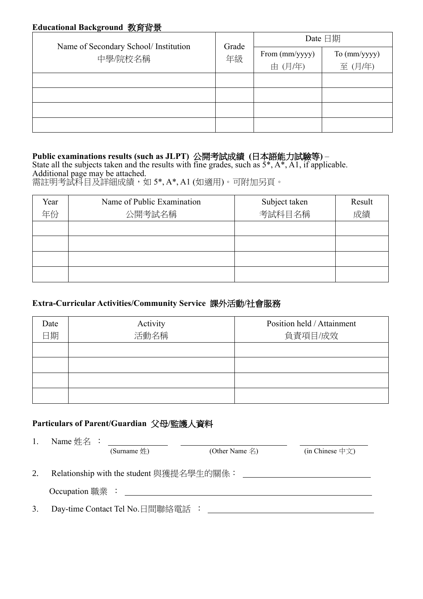### **Educational Background** 教育背景

| Name of Secondary School/ Institution | Grade<br>年級 | Date 日期                  |                        |
|---------------------------------------|-------------|--------------------------|------------------------|
| 中學/院校名稱                               |             | From (mm/yyyy)<br>由(月/年) | To (mm/yyyy)<br>至(月/年) |
|                                       |             |                          |                        |
|                                       |             |                          |                        |
|                                       |             |                          |                        |
|                                       |             |                          |                        |

## **Public examinations results (such as JLPT)** 公開考試成績 **(**日本語能力試驗等**)** –

State all the subjects taken and the results with fine grades, such as  $5^*$ ,  $A^*$ ,  $A1$ , if applicable. Additional page may be attached. 需註明考試科目及詳細成績,如 5\*, A\*, A1 (如適用)。可附加另頁。

| Year | Name of Public Examination | Subject taken | Result |
|------|----------------------------|---------------|--------|
| 年份   | 公開考試名稱                     | 考試科目名稱        | 成績     |
|      |                            |               |        |
|      |                            |               |        |
|      |                            |               |        |
|      |                            |               |        |

## **Extra-Curricular Activities/Community Service** 課外活動**/**社會服務

| Date | Activity | Position held / Attainment |
|------|----------|----------------------------|
| 日期   | 活動名稱     | 負責項目/成效                    |
|      |          |                            |
|      |          |                            |
|      |          |                            |
|      |          |                            |

# **Particulars of Parent/Guardian** 父母**/**監護人資料

| 1. | Name $#A$ :                              |                    |                                        |  |
|----|------------------------------------------|--------------------|----------------------------------------|--|
|    | (Surname $#$ )                           | (Other Name $\&$ ) | (in Chinese $\oplus \overline{\chi}$ ) |  |
| 2. | Relationship with the student 與獲提名學生的關係: |                    |                                        |  |
|    | Occupation $\mathbb{R}\times$ :          |                    |                                        |  |
| 3. | Day-time Contact Tel No.日間聯絡電話:          |                    |                                        |  |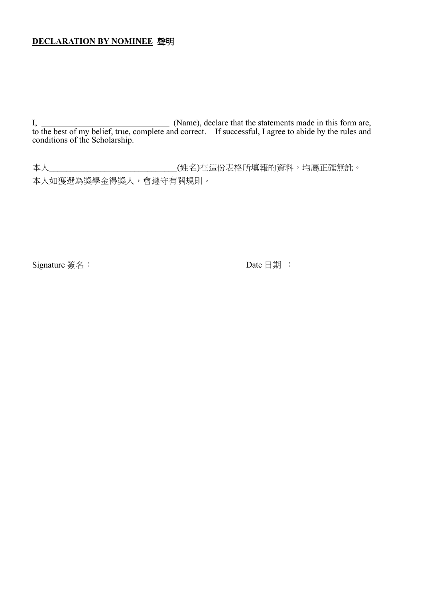### **DECLARATION BY NOMINEE** 聲明

I, (Name), declare that the statements made in this form are, to the best of my belief, true, complete and correct. If successful, I agree to abide by the rules and conditions of the Scholarship.

本人\_\_\_\_\_\_\_\_\_\_\_\_\_\_\_\_\_\_\_\_\_\_\_\_\_\_\_\_\_\_(姓名)在這份表格所填報的資料,均屬正確無訛。 本人如獲選為獎學金得獎人,會遵守有關規則。

Signature 簽名: Date 日期 :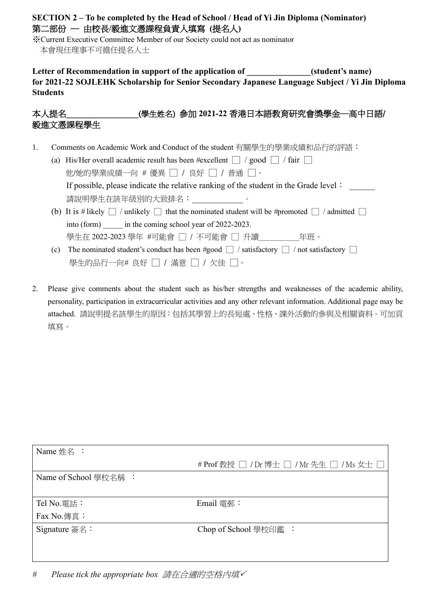### **SECTION 2 – To be completed by the Head of School / Head of Yi Jin Diploma (Nominator)** 第二部份 ─ 由校長**/**毅進文憑課程負責人填寫 **(**提名人**)**

※Current Executive Committee Member of our Society could not act as nominator 本會現任理事不可擔任提名人士

### Letter of Recommendation in support of the application of  $(student's name)$ **for 2021-22 SOJLEHK Scholarship for Senior Secondary Japanese Language Subject / Yi Jin Diploma Students**

## 本人提名\_\_\_\_\_\_\_\_\_\_\_\_\_\_\_\_\_\_(學生姓名) 參加 **2021-22** 香港日本語教育研究會獎學金─高中日語/ 毅進文憑課程學生

- 1. Comments on Academic Work and Conduct of the student 有關學生的學業成績和品行的評語:
	- (a) His/Her overall academic result has been  $#$ excellent  $\Box$  / good  $\Box$  / fair  $\Box$  他/她的學業成績一向 *#* 優異 □ / 良好 □ / 普通 □。 If possible, please indicate the relative ranking of the student in the Grade level: 請說明學生在該年級別的大致排名:
	- (b) It is # likely  $\Box$  / unlikely  $\Box$  that the nominated student will be #promoted  $\Box$  / admitted  $\Box$ into (form) in the coming school year of 2022-2023. 學生在 2022-2023 學年 #可能會 □ / 不可能會 □ 升讀\_\_\_\_\_\_\_\_\_\_\_年班。
	- (c) The nominated student's conduct has been #good  $\Box$  / satisfactory  $\Box$  / not satisfactory  $\Box$ 學生的品行一向# 良好 □ / 滿意 □ / 欠佳 □。
- 2. Please give comments about the student such as his/her strengths and weaknesses of the academic ability, personality, participation in extracurricular activities and any other relevant information. Additional page may be attached. 請說明提名該學生的原因:包括其學習上的長短處、性格、課外活動的參與及相關資料。可加頁 填寫。

| Name 姓名:                    |                                           |
|-----------------------------|-------------------------------------------|
|                             | # Prof 教授 □ / Dr 博士 □ / Mr 先生 □ / Ms 女士 □ |
| Name of School 學校名稱:        |                                           |
|                             |                                           |
| Tel No.電話:                  | $E$ mail 電郵:                              |
| Fax No. 傳真:                 |                                           |
| Signature $\frac{25}{26}$ : | Chop of School 學校印鑑:                      |
|                             |                                           |
|                             |                                           |